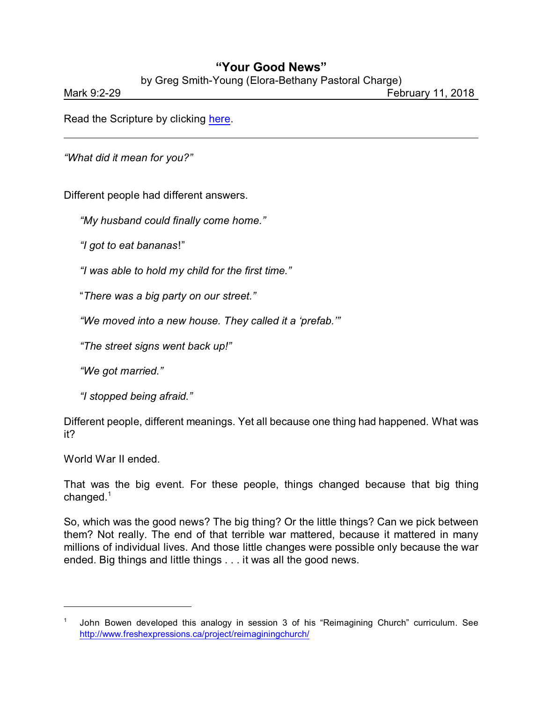## **"Your Good News"**

by Greg Smith-Young (Elora-Bethany Pastoral Charge)

Mark 9:2-29 February 11, 2018

Read the Scripture by clicking [here](https://www.biblegateway.com/passage/?search=John+9%3A35-41&version=CEB).

*"What did it mean for you?"*

Different people had different answers.

*"My husband could finally come home."*

*"I got to eat bananas*!"

*"I was able to hold my child for the first time."*

"*There was a big party on our street."*

*"We moved into a new house. They called it a 'prefab.'"*

*"The street signs went back up!"*

*"We got married."*

*"I stopped being afraid."*

Different people, different meanings. Yet all because one thing had happened. What was it?

World War II ended.

That was the big event. For these people, things changed because that big thing changed.<sup>1</sup>

So, which was the good news? The big thing? Or the little things? Can we pick between them? Not really. The end of that terrible war mattered, because it mattered in many millions of individual lives. And those little changes were possible only because the war ended. Big things and little things . . . it was all the good news.

<sup>1</sup> John Bowen developed this analogy in session 3 of his "Reimagining Church" curriculum. See <http://www.freshexpressions.ca/project/reimaginingchurch/>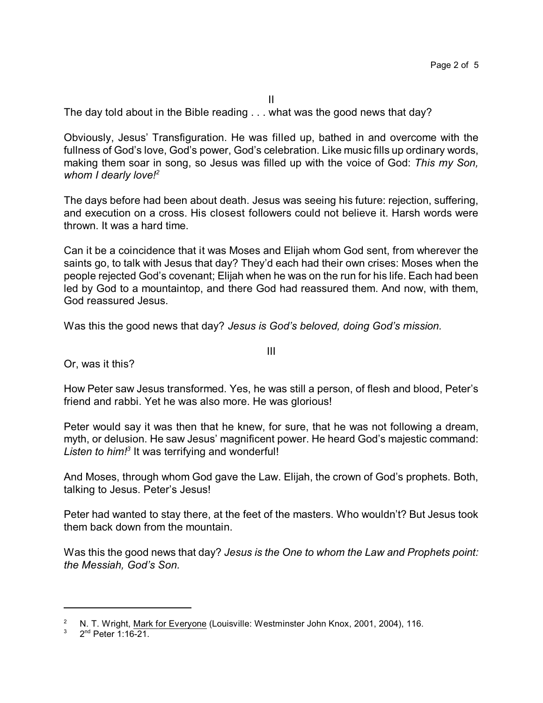II The day told about in the Bible reading . . . what was the good news that day?

Obviously, Jesus' Transfiguration. He was filled up, bathed in and overcome with the fullness of God's love, God's power, God's celebration. Like music fills up ordinary words, making them soar in song, so Jesus was filled up with the voice of God: *This my Son, whom I dearly love!<sup>2</sup>*

The days before had been about death. Jesus was seeing his future: rejection, suffering, and execution on a cross. His closest followers could not believe it. Harsh words were thrown. It was a hard time.

Can it be a coincidence that it was Moses and Elijah whom God sent, from wherever the saints go, to talk with Jesus that day? They'd each had their own crises: Moses when the people rejected God's covenant; Elijah when he was on the run for his life. Each had been led by God to a mountaintop, and there God had reassured them. And now, with them, God reassured Jesus.

Was this the good news that day? *Jesus is God's beloved, doing God's mission.*

Or, was it this?

How Peter saw Jesus transformed. Yes, he was still a person, of flesh and blood, Peter's friend and rabbi. Yet he was also more. He was glorious!

III

Peter would say it was then that he knew, for sure, that he was not following a dream, myth, or delusion. He saw Jesus' magnificent power. He heard God's majestic command: Listen to him!<sup>3</sup> It was terrifying and wonderful!

And Moses, through whom God gave the Law. Elijah, the crown of God's prophets. Both, talking to Jesus. Peter's Jesus!

Peter had wanted to stay there, at the feet of the masters. Who wouldn't? But Jesus took them back down from the mountain.

Was this the good news that day? *Jesus is the One to whom the Law and Prophets point: the Messiah, God's Son.*

<sup>&</sup>lt;sup>2</sup> N. T. Wright, Mark for Everyone (Louisville: Westminster John Knox, 2001, 2004), 116.<br><sup>3</sup> 2<sup>nd</sup> Peter 1:16.21

 $3$  2<sup>nd</sup> Peter 1:16-21.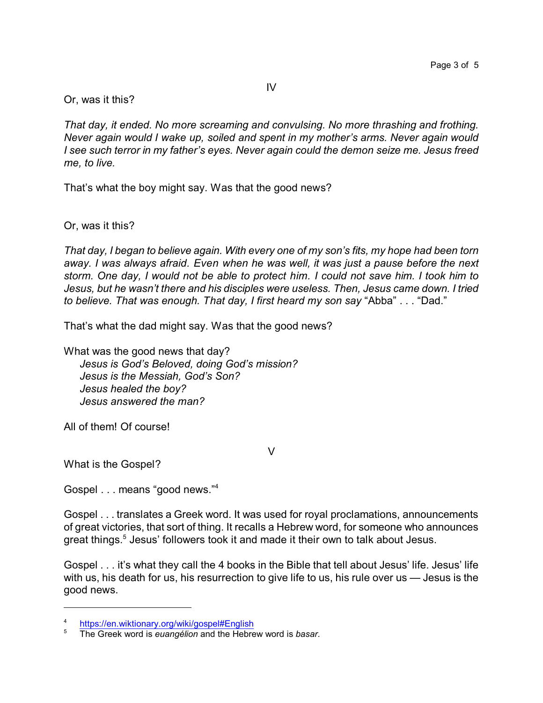Or, was it this?

*That day, it ended. No more screaming and convulsing. No more thrashing and frothing. Never again would I wake up, soiled and spent in my mother's arms. Never again would I see such terror in my father's eyes. Never again could the demon seize me. Jesus freed me, to live.*

That's what the boy might say. Was that the good news?

Or, was it this?

*That day, I began to believe again. With every one of my son's fits, my hope had been torn away. I was always afraid. Even when he was well, it was just a pause before the next storm. One day, I would not be able to protect him. I could not save him. I took him to Jesus, but he wasn't there and his disciples were useless. Then, Jesus came down. I tried to believe. That was enough. That day, I first heard my son say* "Abba" . . . "Dad."

That's what the dad might say. Was that the good news?

What was the good news that day? *Jesus is God's Beloved, doing God's mission? Jesus is the Messiah, God's Son? Jesus healed the boy? Jesus answered the man?*

All of them! Of course!

What is the Gospel?

Gospel . . . means "good news."<sup>4</sup>

Gospel . . . translates a Greek word. It was used for royal proclamations, announcements of great victories, that sort of thing. It recalls a Hebrew word, for someone who announces great things.<sup>5</sup> Jesus' followers took it and made it their own to talk about Jesus.

 $\vee$ 

Gospel . . . it's what they call the 4 books in the Bible that tell about Jesus' life. Jesus' life with us, his death for us, his resurrection to give life to us, his rule over us — Jesus is the good news.

 $\frac{4}{5}$  <https://en.wiktionary.org/wiki/gospel#English>

<sup>5</sup> The Greek word is *euangélion* and the Hebrew word is *basar*.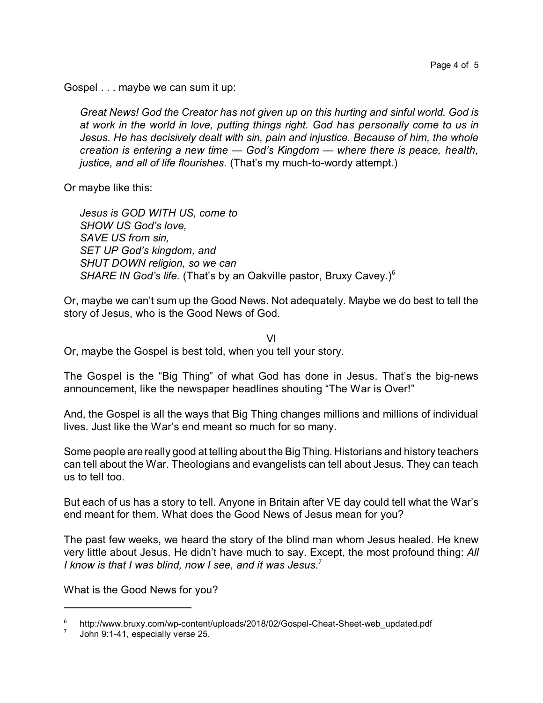Gospel . . . maybe we can sum it up:

*Great News! God the Creator has not given up on this hurting and sinful world. God is at work in the world in love, putting things right. God has personally come to us in Jesus. He has decisively dealt with sin, pain and injustice. Because of him, the whole creation is entering a new time — God's Kingdom — where there is peace, health, justice, and all of life flourishes.* (That's my much-to-wordy attempt.)

Or maybe like this:

*Jesus is GOD WITH US, come to SHOW US God's love, SAVE US from sin, SET UP God's kingdom, and SHUT DOWN religion, so we can SHARE IN God's life.* (That's by an Oakville pastor, Bruxy Cavey.)<sup>6</sup>

Or, maybe we can't sum up the Good News. Not adequately. Maybe we do best to tell the story of Jesus, who is the Good News of God.

VI

Or, maybe the Gospel is best told, when you tell your story.

The Gospel is the "Big Thing" of what God has done in Jesus. That's the big-news announcement, like the newspaper headlines shouting "The War is Over!"

And, the Gospel is all the ways that Big Thing changes millions and millions of individual lives. Just like the War's end meant so much for so many.

Some people are really good at telling about the Big Thing. Historians and history teachers can tell about the War. Theologians and evangelists can tell about Jesus. They can teach us to tell too.

But each of us has a story to tell. Anyone in Britain after VE day could tell what the War's end meant for them. What does the Good News of Jesus mean for you?

The past few weeks, we heard the story of the blind man whom Jesus healed. He knew very little about Jesus. He didn't have much to say. Except, the most profound thing: *All I know is that I was blind, now I see, and it was Jesus.*<sup>7</sup>

What is the Good News for you?

<sup>6</sup> http://www.bruxy.com/wp-content/uploads/2018/02/Gospel-Cheat-Sheet-web\_updated.pdf

<sup>7</sup> John 9:1-41, especially verse 25.